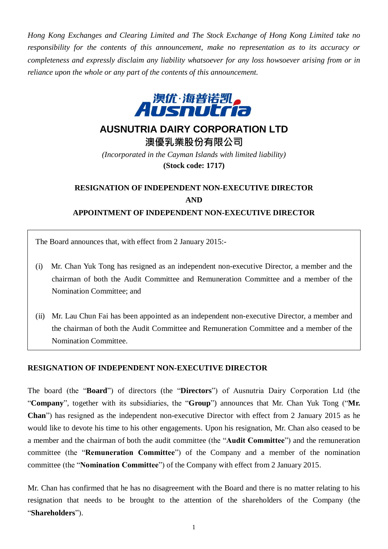*Hong Kong Exchanges and Clearing Limited and The Stock Exchange of Hong Kong Limited take no responsibility for the contents of this announcement, make no representation as to its accuracy or completeness and expressly disclaim any liability whatsoever for any loss howsoever arising from or in reliance upon the whole or any part of the contents of this announcement.*



## **AUSNUTRIA DAIRY CORPORATION LTD**

**澳優乳業股份有限公司** *(Incorporated in the Cayman Islands with limited liability)* **(Stock code: 1717)**

## **RESIGNATION OF INDEPENDENT NON-EXECUTIVE DIRECTOR AND APPOINTMENT OF INDEPENDENT NON-EXECUTIVE DIRECTOR**

The Board announces that, with effect from 2 January 2015:-

- (i) Mr. Chan Yuk Tong has resigned as an independent non-executive Director, a member and the chairman of both the Audit Committee and Remuneration Committee and a member of the Nomination Committee; and
- (ii) Mr. Lau Chun Fai has been appointed as an independent non-executive Director, a member and the chairman of both the Audit Committee and Remuneration Committee and a member of the Nomination Committee.

## **RESIGNATION OF INDEPENDENT NON-EXECUTIVE DIRECTOR**

The board (the "**Board**") of directors (the "**Directors**") of Ausnutria Dairy Corporation Ltd (the "**Company**", together with its subsidiaries, the "**Group**") announces that Mr. Chan Yuk Tong ("**Mr. Chan**") has resigned as the independent non-executive Director with effect from 2 January 2015 as he would like to devote his time to his other engagements. Upon his resignation, Mr. Chan also ceased to be a member and the chairman of both the audit committee (the "**Audit Committee**") and the remuneration committee (the "**Remuneration Committee**") of the Company and a member of the nomination committee (the "**Nomination Committee**") of the Company with effect from 2 January 2015.

Mr. Chan has confirmed that he has no disagreement with the Board and there is no matter relating to his resignation that needs to be brought to the attention of the shareholders of the Company (the "**Shareholders**").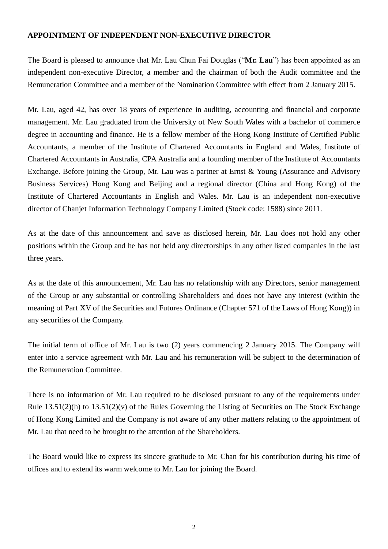## **APPOINTMENT OF INDEPENDENT NON-EXECUTIVE DIRECTOR**

The Board is pleased to announce that Mr. Lau Chun Fai Douglas ("**Mr. Lau**") has been appointed as an independent non-executive Director, a member and the chairman of both the Audit committee and the Remuneration Committee and a member of the Nomination Committee with effect from 2 January 2015.

Mr. Lau, aged 42, has over 18 years of experience in auditing, accounting and financial and corporate management. Mr. Lau graduated from the University of New South Wales with a bachelor of commerce degree in accounting and finance. He is a fellow member of the Hong Kong Institute of Certified Public Accountants, a member of the Institute of Chartered Accountants in England and Wales, Institute of Chartered Accountants in Australia, CPA Australia and a founding member of the Institute of Accountants Exchange. Before joining the Group, Mr. Lau was a partner at Ernst & Young (Assurance and Advisory Business Services) Hong Kong and Beijing and a regional director (China and Hong Kong) of the Institute of Chartered Accountants in English and Wales. Mr. Lau is an independent non-executive director of Chanjet Information Technology Company Limited (Stock code: 1588) since 2011.

As at the date of this announcement and save as disclosed herein, Mr. Lau does not hold any other positions within the Group and he has not held any directorships in any other listed companies in the last three years.

As at the date of this announcement, Mr. Lau has no relationship with any Directors, senior management of the Group or any substantial or controlling Shareholders and does not have any interest (within the meaning of Part XV of the Securities and Futures Ordinance (Chapter 571 of the Laws of Hong Kong)) in any securities of the Company.

The initial term of office of Mr. Lau is two (2) years commencing 2 January 2015. The Company will enter into a service agreement with Mr. Lau and his remuneration will be subject to the determination of the Remuneration Committee.

There is no information of Mr. Lau required to be disclosed pursuant to any of the requirements under Rule 13.51(2)(h) to 13.51(2)(v) of the Rules Governing the Listing of Securities on The Stock Exchange of Hong Kong Limited and the Company is not aware of any other matters relating to the appointment of Mr. Lau that need to be brought to the attention of the Shareholders.

The Board would like to express its sincere gratitude to Mr. Chan for his contribution during his time of offices and to extend its warm welcome to Mr. Lau for joining the Board.